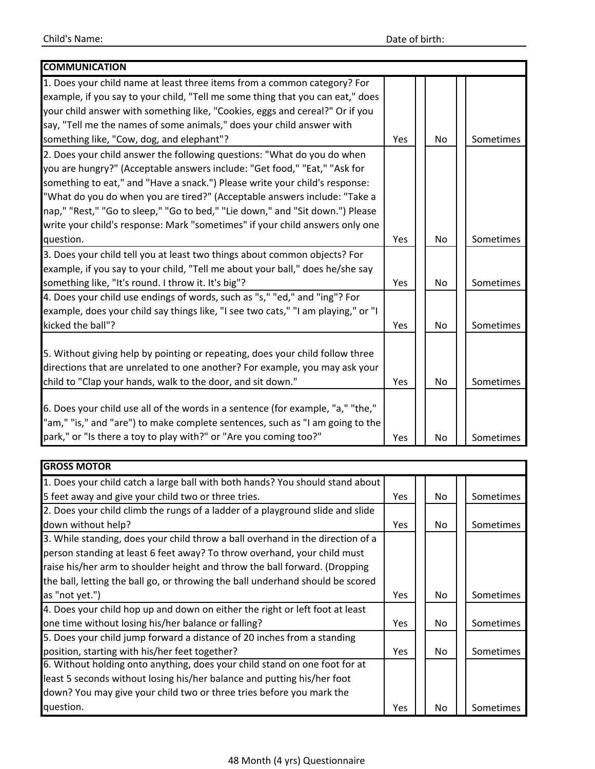| <b>COMMUNICATION</b>                                                              |     |           |           |
|-----------------------------------------------------------------------------------|-----|-----------|-----------|
| 1. Does your child name at least three items from a common category? For          |     |           |           |
| example, if you say to your child, "Tell me some thing that you can eat," does    |     |           |           |
| your child answer with something like, "Cookies, eggs and cereal?" Or if you      |     |           |           |
| say, "Tell me the names of some animals," does your child answer with             |     |           |           |
| something like, "Cow, dog, and elephant"?                                         | Yes | <b>No</b> | Sometimes |
| 2. Does your child answer the following questions: "What do you do when           |     |           |           |
| you are hungry?" (Acceptable answers include: "Get food," "Eat," "Ask for         |     |           |           |
| something to eat," and "Have a snack.") Please write your child's response:       |     |           |           |
| "What do you do when you are tired?" (Acceptable answers include: "Take a         |     |           |           |
| nap," "Rest," "Go to sleep," "Go to bed," "Lie down," and "Sit down.") Please     |     |           |           |
| write your child's response: Mark "sometimes" if your child answers only one      |     |           |           |
| question.                                                                         | Yes | No        | Sometimes |
| 3. Does your child tell you at least two things about common objects? For         |     |           |           |
| example, if you say to your child, "Tell me about your ball," does he/she say     |     |           |           |
| something like, "It's round. I throw it. It's big"?                               | Yes | No        | Sometimes |
| 4. Does your child use endings of words, such as "s," "ed," and "ing"? For        |     |           |           |
| example, does your child say things like, "I see two cats," "I am playing," or "I |     |           |           |
| kicked the ball"?                                                                 | Yes | No        | Sometimes |
|                                                                                   |     |           |           |
| 5. Without giving help by pointing or repeating, does your child follow three     |     |           |           |
| directions that are unrelated to one another? For example, you may ask your       |     |           |           |
| child to "Clap your hands, walk to the door, and sit down."                       | Yes | <b>No</b> | Sometimes |
|                                                                                   |     |           |           |
| 6. Does your child use all of the words in a sentence (for example, "a," "the,"   |     |           |           |
| "am," "is," and "are") to make complete sentences, such as "I am going to the     |     |           |           |
| park," or "Is there a toy to play with?" or "Are you coming too?"                 | Yes | <b>No</b> | Sometimes |

| <b>GROSS MOTOR</b>                                                             |     |     |           |
|--------------------------------------------------------------------------------|-----|-----|-----------|
| 1. Does your child catch a large ball with both hands? You should stand about  |     |     |           |
| 5 feet away and give your child two or three tries.                            | Yes | No. | Sometimes |
| 2. Does your child climb the rungs of a ladder of a playground slide and slide |     |     |           |
| down without help?                                                             | Yes | No. | Sometimes |
| 3. While standing, does your child throw a ball overhand in the direction of a |     |     |           |
| person standing at least 6 feet away? To throw overhand, your child must       |     |     |           |
| raise his/her arm to shoulder height and throw the ball forward. (Dropping     |     |     |           |
| the ball, letting the ball go, or throwing the ball underhand should be scored |     |     |           |
| as "not yet.")                                                                 | Yes | No. | Sometimes |
| 4. Does your child hop up and down on either the right or left foot at least   |     |     |           |
| one time without losing his/her balance or falling?                            | Yes | No. | Sometimes |
| 5. Does your child jump forward a distance of 20 inches from a standing        |     |     |           |
| position, starting with his/her feet together?                                 | Yes | No. | Sometimes |
| 6. Without holding onto anything, does your child stand on one foot for at     |     |     |           |
| least 5 seconds without losing his/her balance and putting his/her foot        |     |     |           |
| down? You may give your child two or three tries before you mark the           |     |     |           |
| question.                                                                      | Yes | No  | Sometimes |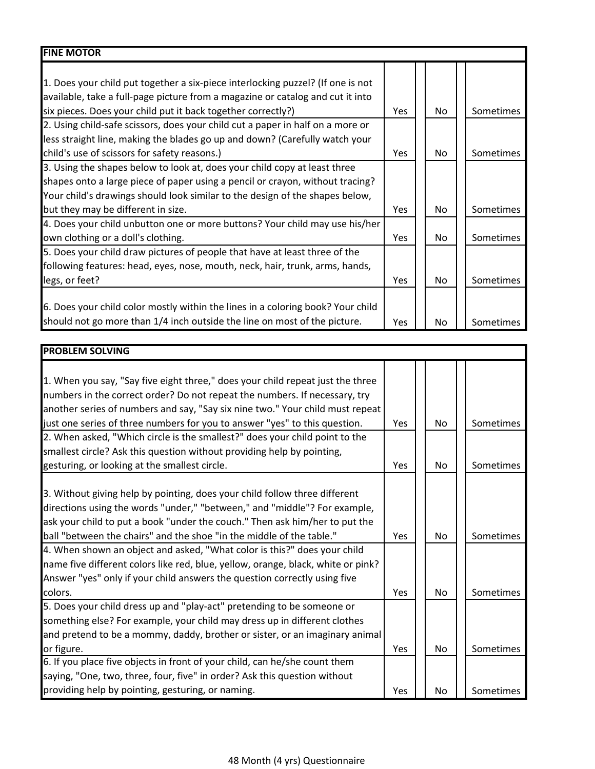| <b>FINE MOTOR</b>                                                               |            |           |                  |
|---------------------------------------------------------------------------------|------------|-----------|------------------|
|                                                                                 |            |           |                  |
| 1. Does your child put together a six-piece interlocking puzzel? (If one is not |            |           |                  |
| available, take a full-page picture from a magazine or catalog and cut it into  |            |           |                  |
| six pieces. Does your child put it back together correctly?)                    | <b>Yes</b> | No.       | <b>Sometimes</b> |
| 2. Using child-safe scissors, does your child cut a paper in half on a more or  |            |           |                  |
| less straight line, making the blades go up and down? (Carefully watch your     |            |           |                  |
| child's use of scissors for safety reasons.)                                    | Yes        | No.       | <b>Sometimes</b> |
| 3. Using the shapes below to look at, does your child copy at least three       |            |           |                  |
| shapes onto a large piece of paper using a pencil or crayon, without tracing?   |            |           |                  |
| Your child's drawings should look similar to the design of the shapes below,    |            |           |                  |
| but they may be different in size.                                              | Yes        | <b>No</b> | Sometimes        |
| 4. Does your child unbutton one or more buttons? Your child may use his/her     |            |           |                  |
| own clothing or a doll's clothing.                                              | Yes        | No.       | Sometimes        |
| 5. Does your child draw pictures of people that have at least three of the      |            |           |                  |
| following features: head, eyes, nose, mouth, neck, hair, trunk, arms, hands,    |            |           |                  |
| legs, or feet?                                                                  | Yes        | No.       | Sometimes        |
|                                                                                 |            |           |                  |
| 6. Does your child color mostly within the lines in a coloring book? Your child |            |           |                  |
| should not go more than 1/4 inch outside the line on most of the picture.       | Yes        | No        | Sometimes        |

| <b>PROBLEM SOLVING</b>                                                           |     |     |           |
|----------------------------------------------------------------------------------|-----|-----|-----------|
|                                                                                  |     |     |           |
| 1. When you say, "Say five eight three," does your child repeat just the three   |     |     |           |
| numbers in the correct order? Do not repeat the numbers. If necessary, try       |     |     |           |
| another series of numbers and say, "Say six nine two." Your child must repeat    |     |     |           |
| just one series of three numbers for you to answer "yes" to this question.       | Yes | No  | Sometimes |
| 2. When asked, "Which circle is the smallest?" does your child point to the      |     |     |           |
| smallest circle? Ask this question without providing help by pointing,           |     |     |           |
| gesturing, or looking at the smallest circle.                                    | Yes | No  | Sometimes |
|                                                                                  |     |     |           |
| 3. Without giving help by pointing, does your child follow three different       |     |     |           |
| directions using the words "under," "between," and "middle"? For example,        |     |     |           |
| ask your child to put a book "under the couch." Then ask him/her to put the      |     |     |           |
| ball "between the chairs" and the shoe "in the middle of the table."             | Yes | No  | Sometimes |
| 4. When shown an object and asked, "What color is this?" does your child         |     |     |           |
| name five different colors like red, blue, yellow, orange, black, white or pink? |     |     |           |
| Answer "yes" only if your child answers the question correctly using five        |     |     |           |
| colors.                                                                          | Yes | No  | Sometimes |
| 5. Does your child dress up and "play-act" pretending to be someone or           |     |     |           |
| something else? For example, your child may dress up in different clothes        |     |     |           |
| and pretend to be a mommy, daddy, brother or sister, or an imaginary animal      |     |     |           |
| or figure.                                                                       | Yes | No  | Sometimes |
| 6. If you place five objects in front of your child, can he/she count them       |     |     |           |
| saying, "One, two, three, four, five" in order? Ask this question without        |     |     |           |
| providing help by pointing, gesturing, or naming.                                | Yes | No. | Sometimes |